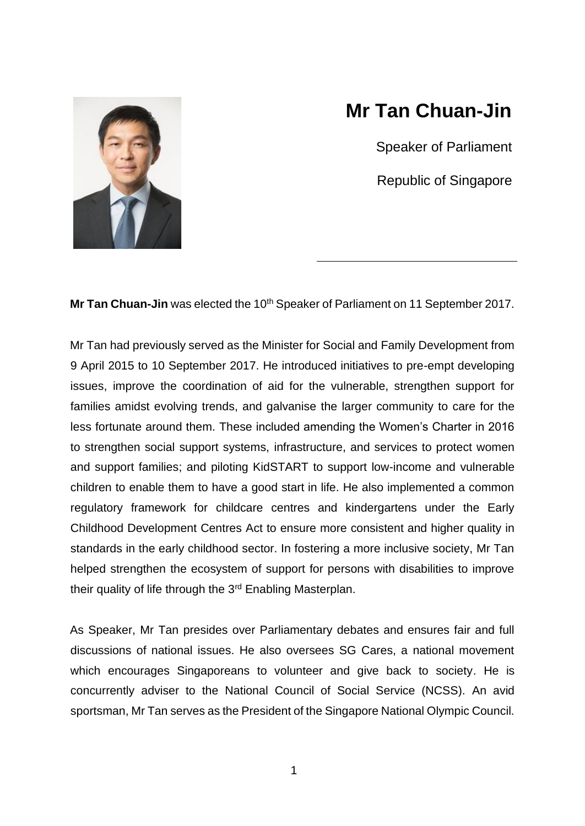

## **Mr Tan Chuan-Jin**

Speaker of Parliament

Republic of Singapore

Mr Tan Chuan-Jin was elected the 10<sup>th</sup> Speaker of Parliament on 11 September 2017.

Mr Tan had previously served as the Minister for Social and Family Development from 9 April 2015 to 10 September 2017. He introduced initiatives to pre-empt developing issues, improve the coordination of aid for the vulnerable, strengthen support for families amidst evolving trends, and galvanise the larger community to care for the less fortunate around them. These included amending the Women's Charter in 2016 to strengthen social support systems, infrastructure, and services to protect women and support families; and piloting KidSTART to support low-income and vulnerable children to enable them to have a good start in life. He also implemented a common regulatory framework for childcare centres and kindergartens under the Early Childhood Development Centres Act to ensure more consistent and higher quality in standards in the early childhood sector. In fostering a more inclusive society, Mr Tan helped strengthen the ecosystem of support for persons with disabilities to improve their quality of life through the 3<sup>rd</sup> Enabling Masterplan.

As Speaker, Mr Tan presides over Parliamentary debates and ensures fair and full discussions of national issues. He also oversees SG Cares, a national movement which encourages Singaporeans to volunteer and give back to society. He is concurrently adviser to the National Council of Social Service (NCSS). An avid sportsman, Mr Tan serves as the President of the Singapore National Olympic Council.

1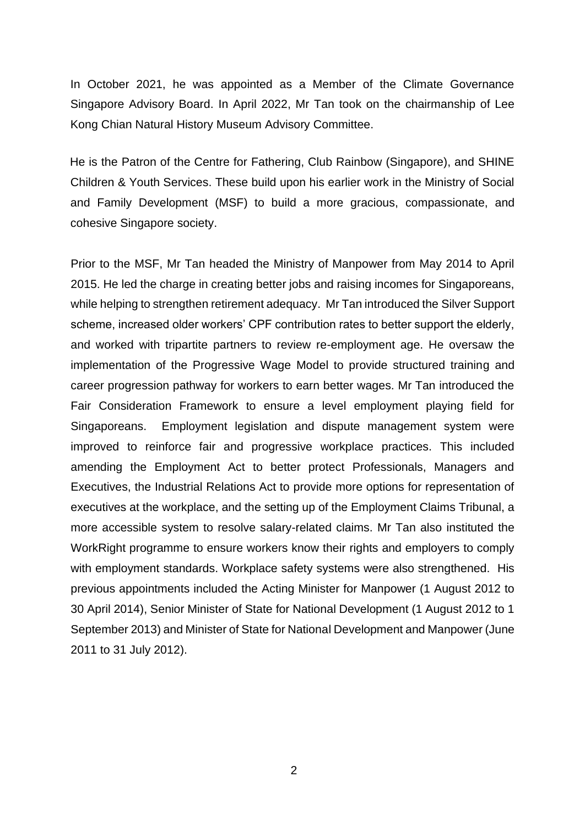In October 2021, he was appointed as a Member of the Climate Governance Singapore Advisory Board. In April 2022, Mr Tan took on the chairmanship of Lee Kong Chian Natural History Museum Advisory Committee.

He is the Patron of the Centre for Fathering, Club Rainbow (Singapore), and SHINE Children & Youth Services. These build upon his earlier work in the Ministry of Social and Family Development (MSF) to build a more gracious, compassionate, and cohesive Singapore society.

Prior to the MSF, Mr Tan headed the Ministry of Manpower from May 2014 to April 2015. He led the charge in creating better jobs and raising incomes for Singaporeans, while helping to strengthen retirement adequacy. Mr Tan introduced the Silver Support scheme, increased older workers' CPF contribution rates to better support the elderly, and worked with tripartite partners to review re-employment age. He oversaw the implementation of the Progressive Wage Model to provide structured training and career progression pathway for workers to earn better wages. Mr Tan introduced the Fair Consideration Framework to ensure a level employment playing field for Singaporeans. Employment legislation and dispute management system were improved to reinforce fair and progressive workplace practices. This included amending the Employment Act to better protect Professionals, Managers and Executives, the Industrial Relations Act to provide more options for representation of executives at the workplace, and the setting up of the Employment Claims Tribunal, a more accessible system to resolve salary-related claims. Mr Tan also instituted the WorkRight programme to ensure workers know their rights and employers to comply with employment standards. Workplace safety systems were also strengthened. His previous appointments included the Acting Minister for Manpower (1 August 2012 to 30 April 2014), Senior Minister of State for National Development (1 August 2012 to 1 September 2013) and Minister of State for National Development and Manpower (June 2011 to 31 July 2012).